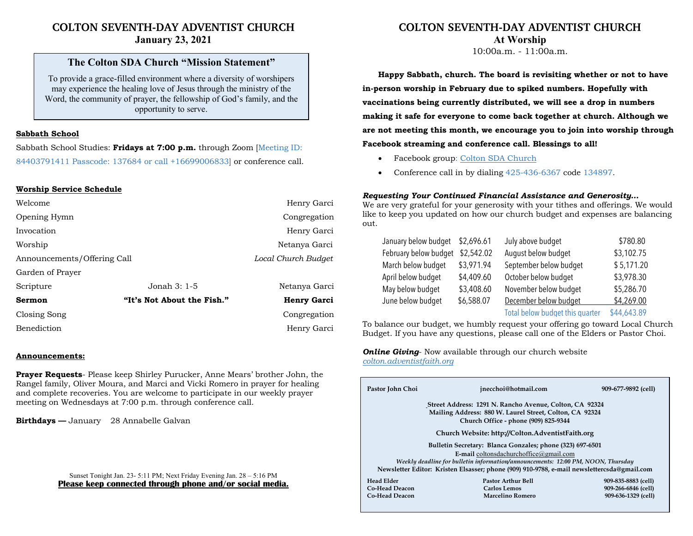# **COLTON SEVENTH-DAY ADVENTIST CHURCH January 23, 2021**

# **The Colton SDA Church "Mission Statement"**

To provide a grace-filled environment where a diversity of worshipers may experience the healing love of Jesus through the ministry of the Word, the community of prayer, the fellowship of God's family, and the opportunity to serve.

### **Sabbath School**

Sabbath School Studies: **Fridays at 7:00 p.m.** through Zoom [Meeting ID: 84403791411 Passcode: 137684 or call +16699006833] or conference call.

## **Worship Service Schedule**

| Welcome                     |                            | Henry Garci        |
|-----------------------------|----------------------------|--------------------|
| Opening Hymn                |                            | Congregation       |
| Invocation                  |                            | Henry Garci        |
| Worship                     | Netanya Garci              |                    |
| Announcements/Offering Call | Local Church Budget        |                    |
| Garden of Prayer            |                            |                    |
| Scripture                   | Jonah $3:1-5$              | Netanya Garci      |
| <b>Sermon</b>               | "It's Not About the Fish." | <b>Henry Garci</b> |
| Closing Song                |                            | Congregation       |
| Benediction                 |                            | Henry Garci        |

#### **Announcements:**

**Prayer Requests**- Please keep Shirley Purucker, Anne Mears' brother John, the Rangel family, Oliver Moura, and Marci and Vicki Romero in prayer for healing and complete recoveries. You are welcome to participate in our weekly prayer meeting on Wednesdays at 7:00 p.m. through conference call.

**Birthdays —** January 28 Annabelle Galvan

# **COLTON SEVENTH-DAY ADVENTIST CHURCH At Worship**

10:00a.m. - 11:00a.m.

**Happy Sabbath, church. The board is revisiting whether or not to have in-person worship in February due to spiked numbers. Hopefully with vaccinations being currently distributed, we will see a drop in numbers making it safe for everyone to come back together at church. Although we are not meeting this month, we encourage you to join into worship through**

## **Facebook streaming and conference call. Blessings to all!**

- Facebook group: Colton SDA Church
- Conference call in by dialing 425-436-6367 code 134897.

### *Requesting Your Continued Financial Assistance and Generosity…*

We are very grateful for your generosity with your tithes and offerings. We would like to keep you updated on how our church budget and expenses are balancing out.

| January below budget \$2,696.61 |            | July above budget               | \$780.80    |
|---------------------------------|------------|---------------------------------|-------------|
| February below budget           | \$2,542.02 | August below budget             | \$3,102.75  |
| March below budget              | \$3,971.94 | September below budget          | \$5,171.20  |
| April below budget              | \$4,409.60 | October below budget            | \$3,978.30  |
| May below budget                | \$3,408.60 | November below budget           | \$5,286.70  |
| June below budget               | \$6,588.07 | December below budget           | \$4,269.00  |
|                                 |            | Total below budget this quarter | \$44,643.89 |

To balance our budget, we humbly request your offering go toward Local Church Budget. If you have any questions, please call one of the Elders or Pastor Choi.

*Online Giving*- Now available through our church website *colton.adventistfaith.org*

|  | Pastor John Choi                                                                                                                                                               | jnecchoi@hotmail.com      | 909-677-9892 (cell) |  |  |  |
|--|--------------------------------------------------------------------------------------------------------------------------------------------------------------------------------|---------------------------|---------------------|--|--|--|
|  |                                                                                                                                                                                |                           |                     |  |  |  |
|  | Street Address: 1291 N. Rancho Avenue, Colton, CA 92324                                                                                                                        |                           |                     |  |  |  |
|  | Mailing Address: 880 W. Laurel Street, Colton, CA 92324                                                                                                                        |                           |                     |  |  |  |
|  | Church Office - phone (909) 825-9344                                                                                                                                           |                           |                     |  |  |  |
|  | Church Website: http://Colton.AdventistFaith.org                                                                                                                               |                           |                     |  |  |  |
|  | Bulletin Secretary: Blanca Gonzales; phone (323) 697-6501                                                                                                                      |                           |                     |  |  |  |
|  | E-mail coltonsdachurchoffice@gmail.com                                                                                                                                         |                           |                     |  |  |  |
|  | Weekly deadline for bulletin information/announcements: 12:00 PM, NOON, Thursday<br>Newsletter Editor: Kristen Elsasser; phone (909) 910-9788, e-mail newslettercsda@gmail.com |                           |                     |  |  |  |
|  |                                                                                                                                                                                |                           |                     |  |  |  |
|  | <b>Head Elder</b>                                                                                                                                                              | <b>Pastor Arthur Bell</b> | 909-835-8883 (cell) |  |  |  |
|  | Co-Head Deacon                                                                                                                                                                 | Carlos Lemos              | 909-266-6846 (cell) |  |  |  |
|  | <b>Co-Head Deacon</b>                                                                                                                                                          | Marcelino Romero          | 909-636-1329 (cell) |  |  |  |
|  |                                                                                                                                                                                |                           |                     |  |  |  |